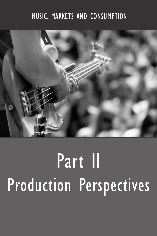### MUSIC, MARKETS AND CONSUMPTION



## Part II Production Perspectives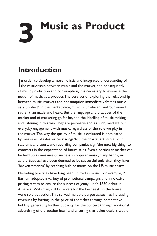# **3 Music as Product**

### **Introduction**

In order to develop a more holistic and integrated understanding consequently the relationship between music and the market, and consequently n order to develop a more holistic and integrated understanding of of music production and consumption, it is necessary to examine the notion of music as a product. The very act of exploring the relationship between music, markets and consumption immediately frames music as a 'product'. In the marketplace, music is 'produced' and 'consumed' rather than made and heard. But the language and practices of the market and of marketing go far beyond the labelling of music making and listening in this way. They are pervasive and, as such, mediate our everyday engagement with music, regardless of the role we play in the market. The way the quality of music is evaluated is dominated by measures of sales success: songs 'top the charts', artists 'sell out' stadiums and tours, and recording companies sign 'the next big thing' to contracts in the expectation of future sales. Even a particular market can be held up as measure of success: in popular music, many bands, such as the Beatles, have been deemed to be successful only after they have 'broken America' by reaching high positions on the US music charts.

Marketing practices have long been utilized in music. For example, P.T. Barnum adopted a variety of promotional campaigns and innovative pricing tactics to ensure the success of Jenny Lind's 1850 debut in America (Waksman, 2011). Tickets for the best seats in the house were sold at auction. This served multiple purposes, such as increasing revenues by forcing up the price of the ticket through competitive bidding, generating further publicity for the concert through additional advertising of the auction itself, and ensuring that ticket dealers would